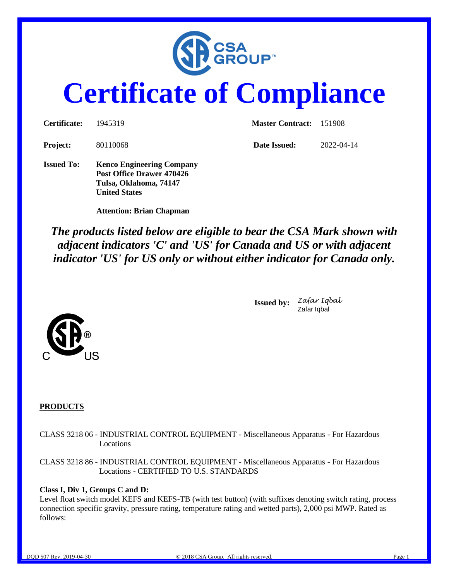

# **Certificate of Compliance**

| Certificate:      | 1945319                                                                                                                | <b>Master Contract:</b> 151908 |            |  |
|-------------------|------------------------------------------------------------------------------------------------------------------------|--------------------------------|------------|--|
| <b>Project:</b>   | 80110068                                                                                                               | Date Issued:                   | 2022-04-14 |  |
| <b>Issued To:</b> | <b>Kenco Engineering Company</b><br><b>Post Office Drawer 470426</b><br>Tulsa, Oklahoma, 74147<br><b>United States</b> |                                |            |  |

 **Attention: Brian Chapman**

*The products listed below are eligible to bear the CSA Mark shown with adjacent indicators 'C' and 'US' for Canada and US or with adjacent indicator 'US' for US only or without either indicator for Canada only.*

> **Issued by:** *Zafar Iqbal* Zafar Iqbal



#### **PRODUCTS**

- CLASS 3218 06 INDUSTRIAL CONTROL EQUIPMENT Miscellaneous Apparatus For Hazardous Locations
- CLASS 3218 86 INDUSTRIAL CONTROL EQUIPMENT Miscellaneous Apparatus For Hazardous Locations - CERTIFIED TO U.S. STANDARDS

### **Class I, Div 1, Groups C and D:**

Level float switch model KEFS and KEFS-TB (with test button) (with suffixes denoting switch rating, process connection specific gravity, pressure rating, temperature rating and wetted parts), 2,000 psi MWP. Rated as follows: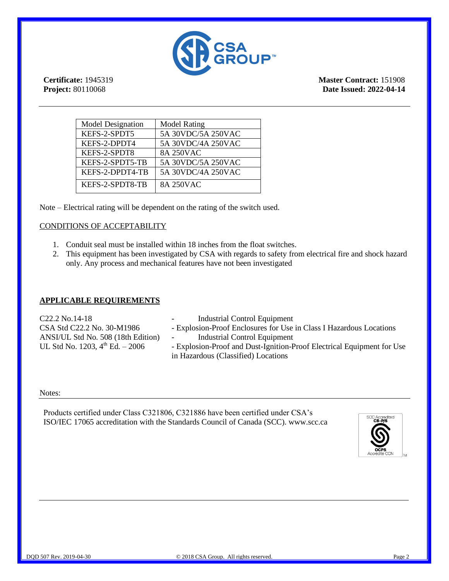

**Certificate:** 1945319 **Project:** 80110068

**Master Contract:** 151908 **Date Issued: 2022-04-14**

| <b>Model Designation</b> | <b>Model Rating</b> |
|--------------------------|---------------------|
| KEFS-2-SPDT5             | 5A 30VDC/5A 250VAC  |
| KEFS-2-DPDT4             | 5A 30VDC/4A 250VAC  |
| KEFS-2-SPDT8             | 8A 250VAC           |
| KEFS-2-SPDT5-TB          | 5A 30VDC/5A 250VAC  |
| KEFS-2-DPDT4-TB          | 5A 30VDC/4A 250VAC  |
| KEFS-2-SPDT8-TB          | 8A 250VAC           |

Note – Electrical rating will be dependent on the rating of the switch used.

### CONDITIONS OF ACCEPTABILITY

- 1. Conduit seal must be installed within 18 inches from the float switches.
- 2. This equipment has been investigated by CSA with regards to safety from electrical fire and shock hazard only. Any process and mechanical features have not been investigated

### **APPLICABLE REQUIREMENTS**

| C22.2 No.14-18                                | Industrial Control Equipment                                           |
|-----------------------------------------------|------------------------------------------------------------------------|
| CSA Std C22.2 No. 30-M1986                    | - Explosion-Proof Enclosures for Use in Class I Hazardous Locations    |
| ANSI/UL Std No. 508 (18th Edition)            | Industrial Control Equipment<br>$\Delta \sim 100$                      |
| UL Std No. 1203, $4^{\text{th}}$ Ed. $- 2006$ | - Explosion-Proof and Dust-Ignition-Proof Electrical Equipment for Use |
|                                               | in Hazardous (Classified) Locations                                    |

#### Notes:

Products certified under Class C321806, C321886 have been certified under CSA's ISO/IEC 17065 accreditation with the Standards Council of Canada (SCC). www.scc.ca